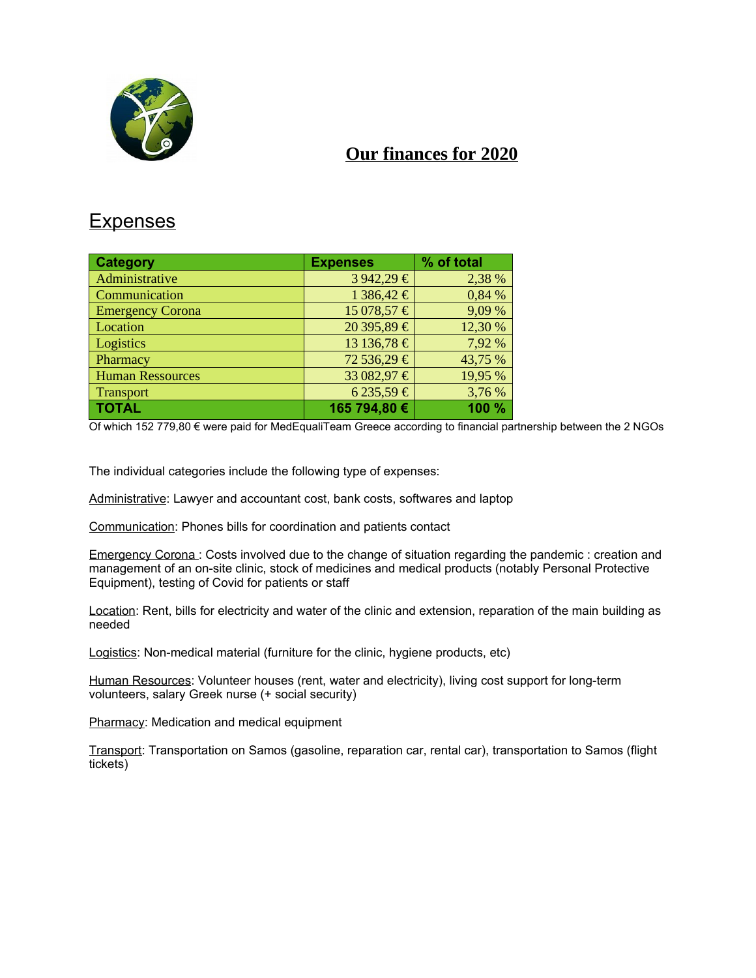

## **Our finances for 2020**

## Expenses

| <b>Category</b>         | <b>Expenses</b> | % of total |
|-------------------------|-----------------|------------|
| Administrative          | 3942,29€        | 2,38 %     |
| Communication           | 1 386,42€       | 0,84%      |
| <b>Emergency Corona</b> | 15 078,57€      | 9,09 %     |
| Location                | 20 395,89€      | 12,30 %    |
| Logistics               | 13 136,78€      | 7,92 %     |
| Pharmacy                | 72 536,29€      | 43,75 %    |
| <b>Human Ressources</b> | 33 082,97€      | 19,95 %    |
| <b>Transport</b>        | 6 235,59€       | 3,76 %     |
| <b>TOTAL</b>            | 165 794,80 €    | 100 %      |

Of which 152 779,80 € were paid for MedEqualiTeam Greece according to financial partnership between the 2 NGOs

The individual categories include the following type of expenses:

Administrative: Lawyer and accountant cost, bank costs, softwares and laptop

Communication: Phones bills for coordination and patients contact

Emergency Corona : Costs involved due to the change of situation regarding the pandemic : creation and management of an on-site clinic, stock of medicines and medical products (notably Personal Protective Equipment), testing of Covid for patients or staff

Location: Rent, bills for electricity and water of the clinic and extension, reparation of the main building as needed

Logistics: Non-medical material (furniture for the clinic, hygiene products, etc)

Human Resources: Volunteer houses (rent, water and electricity), living cost support for long-term volunteers, salary Greek nurse (+ social security)

Pharmacy: Medication and medical equipment

Transport: Transportation on Samos (gasoline, reparation car, rental car), transportation to Samos (flight tickets)